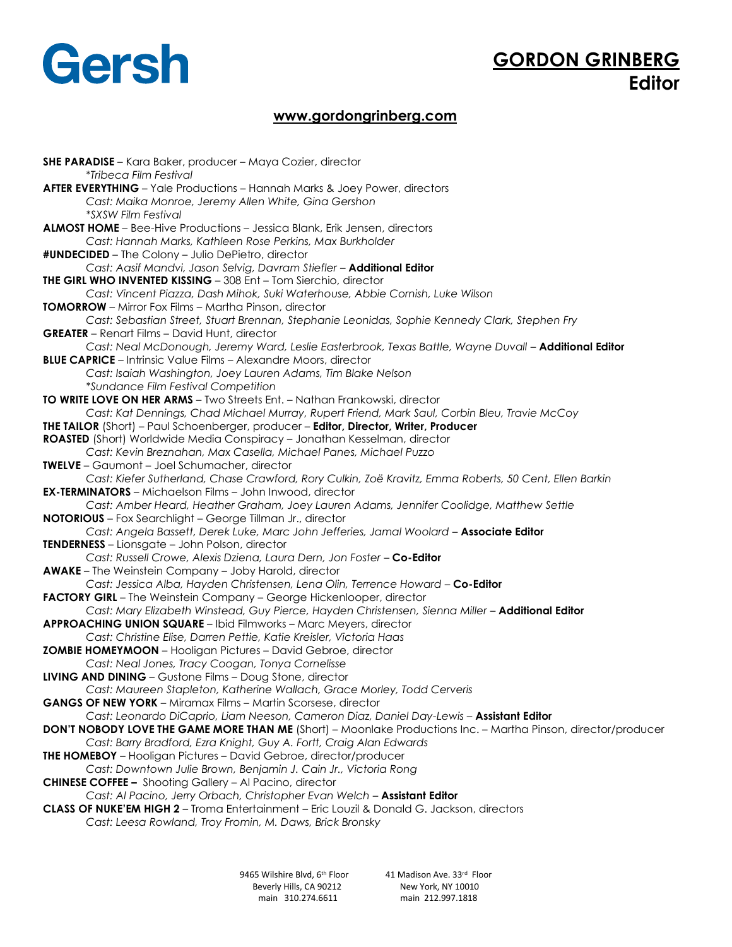# Gersh

# **GORDON GRINBERG Editor**

## **www.gordongrinberg.com**

**SHE PARADISE** – Kara Baker, producer – Maya Cozier, director \**Tribeca Film Festival* **AFTER EVERYTHING** – Yale Productions – Hannah Marks & Joey Power, directors *Cast: Maika Monroe, Jeremy Allen White, Gina Gershon \*SXSW Film Festival*  **ALMOST HOME** – Bee-Hive Productions – Jessica Blank, Erik Jensen, directors *Cast: Hannah Marks, Kathleen Rose Perkins, Max Burkholder* **#UNDECIDED** – The Colony – Julio DePietro, director *Cast: Aasif Mandvi, Jason Selvig, Davram Stiefler* – **Additional Editor THE GIRL WHO INVENTED KISSING** – 308 Ent – Tom Sierchio, director *Cast: Vincent Piazza, Dash Mihok, Suki Waterhouse, Abbie Cornish, Luke Wilson* **TOMORROW** – Mirror Fox Films – Martha Pinson, director *Cast: Sebastian Street, Stuart Brennan, Stephanie Leonidas, Sophie Kennedy Clark, Stephen Fry*  **GREATER** – Renart Films – David Hunt, director Cast: Neal McDonough, Jeremy Ward, Leslie Easterbrook, Texas Battle, Wayne Duvall - **Additional Editor BLUE CAPRICE** – Intrinsic Value Films – Alexandre Moors, director *Cast: Isaiah Washington, Joey Lauren Adams, Tim Blake Nelson \*Sundance Film Festival Competition*  **TO WRITE LOVE ON HER ARMS** – Two Streets Ent. – Nathan Frankowski, director *Cast: Kat Dennings, Chad Michael Murray, Rupert Friend, Mark Saul, Corbin Bleu, Travie McCoy*  **THE TAILOR** (Short) – Paul Schoenberger, producer – **Editor, Director, Writer, Producer ROASTED** (Short) Worldwide Media Conspiracy – Jonathan Kesselman, director *Cast: Kevin Breznahan, Max Casella, Michael Panes, Michael Puzzo*  **TWELVE** – Gaumont – Joel Schumacher, director *Cast: Kiefer Sutherland, Chase Crawford, Rory Culkin, Zoë Kravitz, Emma Roberts, 50 Cent, Ellen Barkin*  **EX-TERMINATORS** – Michaelson Films – John Inwood, director *Cast: Amber Heard, Heather Graham, Joey Lauren Adams, Jennifer Coolidge, Matthew Settle* **NOTORIOUS** – Fox Searchlight – George Tillman Jr., director *Cast: Angela Bassett, Derek Luke, Marc John Jefferies, Jamal Woolard* – **Associate Editor TENDERNESS** – Lionsgate – John Polson, director *Cast: Russell Crowe, Alexis Dziena, Laura Dern, Jon Foster - Co-Editor* **AWAKE** – The Weinstein Company – Joby Harold, director *Cast: Jessica Alba, Hayden Christensen, Lena Olin, Terrence Howard* – **Co-Editor** FACTORY GIRL - The Weinstein Company - George Hickenlooper, director Cast: Mary Elizabeth Winstead, Guy Pierce, Hayden Christensen, Sienna Miller - Additional Editor **APPROACHING UNION SQUARE** – Ibid Filmworks – Marc Meyers, director *Cast: Christine Elise, Darren Pettie, Katie Kreisler, Victoria Haas*  **ZOMBIE HOMEYMOON** – Hooligan Pictures – David Gebroe, director *Cast: Neal Jones, Tracy Coogan, Tonya Cornelisse* **LIVING AND DINING** – Gustone Films – Doug Stone, director *Cast: Maureen Stapleton, Katherine Wallach, Grace Morley, Todd Cerveris*  **GANGS OF NEW YORK** – Miramax Films – Martin Scorsese, director Cast: Leonardo DiCaprio, Liam Neeson, Cameron Diaz, Daniel Day-Lewis - Assistant Editor **DON'T NOBODY LOVE THE GAME MORE THAN ME** (Short) – Moonlake Productions Inc. – Martha Pinson, director/producer *Cast: Barry Bradford, Ezra Knight, Guy A. Fortt, Craig Alan Edwards*  **THE HOMEBOY** – Hooligan Pictures – David Gebroe, director/producer *Cast: Downtown Julie Brown, Benjamin J. Cain Jr., Victoria Rong* **CHINESE COFFEE –** Shooting Gallery – Al Pacino, director *Cast: Al Pacino, Jerry Orbach, Christopher Evan Welch* – **Assistant Editor CLASS OF NUKE'EM HIGH 2** – Troma Entertainment – Eric Louzil & Donald G. Jackson, directors *Cast: Leesa Rowland, Troy Fromin, M. Daws, Brick Bronsky* 

> 9465 Wilshire Blvd, 6<sup>th</sup> Floor Beverly Hills, CA 90212 New York, NY 10010 main 310.274.6611 main 212.997.1818

41 Madison Ave. 33rd Floor